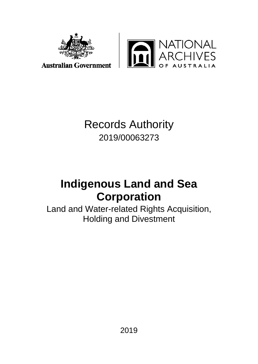



**Australian Government** 

# Records Authority 2019/00063273

# **Indigenous Land and Sea Corporation**

Land and Water-related Rights Acquisition, Holding and Divestment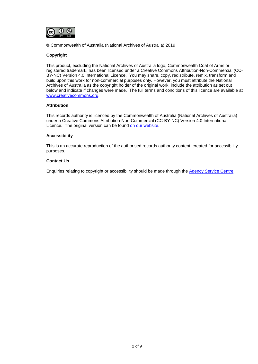

© Commonwealth of Australia (National Archives of Australia) 2019

### **Copyright**

This product, excluding the National Archives of Australia logo, Commonwealth Coat of Arms or registered trademark, has been licensed under a Creative Commons Attribution-Non-Commercial (CC-BY-NC) Version 4.0 International Licence. You may share, copy, redistribute, remix, transform and build upon this work for non-commercial purposes only. However, you must attribute the National Archives of Australia as the copyright holder of the original work, include the attribution as set out below and indicate if changes were made. The full terms and conditions of this licence are available at [www.creativecommons.org.](http://www.creativecommons.org/)

### **Attribution**

This records authority is licenced by the Commonwealth of Australia (National Archives of Australia) under a Creative Commons Attribution-Non-Commercial (CC-BY-NC) Version 4.0 International Licence. The original version can be found [on our website.](http://www.naa.gov.au/)

### **Accessibility**

This is an accurate reproduction of the authorised records authority content, created for accessibility purposes.

### **Contact Us**

Enquiries relating to copyright or accessibility should be made through the [Agency Service Centre.](http://reftracker.naa.gov.au/reft000.aspx)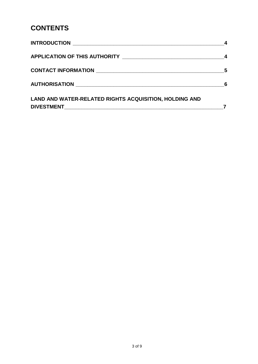# **CONTENTS**

|                                                               | -4 |
|---------------------------------------------------------------|----|
|                                                               | 5  |
|                                                               |    |
| <b>LAND AND WATER-RELATED RIGHTS ACQUISITION, HOLDING AND</b> |    |
|                                                               |    |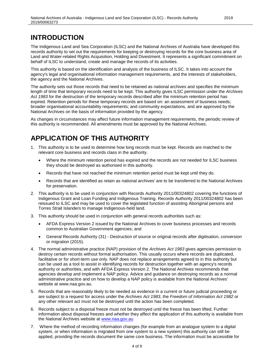## **INTRODUCTION**

The Indigenous Land and Sea Corporation (ILSC) and the National Archives of Australia have developed this records authority to set out the requirements for keeping or destroying records for the core business area of Land and Water-related Rights Acquisition, Holding and Divestment. It represents a significant commitment on behalf of ILSC to understand, create and manage the records of its activities.

This authority is based on the identification and analysis of the business of ILSC. It takes into account the agency's legal and organisational information management requirements, and the interests of stakeholders, the agency and the National Archives.

The authority sets out those records that need to be retained as national archives and specifies the minimum length of time that temporary records need to be kept. This authority gives ILSC permission under the *Archives Act 1983* for the destruction of the temporary records described after the minimum retention period has expired. Retention periods for these temporary records are based on: an assessment of business needs; broader organisational accountability requirements; and community expectations, and are approved by the National Archives on the basis of information provided by the agency.

As changes in circumstances may affect future information management requirements, the periodic review of this authority is recommended. All amendments must be approved by the National Archives.

# **APPLICATION OF THIS AUTHORITY**

- 1. This authority is to be used to determine how long records must be kept. Records are matched to the relevant core business and records class in the authority.
	- Where the minimum retention period has expired and the records are not needed for ILSC business they should be destroyed as authorised in this authority.
	- Records that have not reached the minimum retention period must be kept until they do.
	- Records that are identified as retain as national archives' are to be transferred to the National Archives for preservation.
- 2. This authority is to be used in conjunction with Records Authority 2011/00324802 covering the functions of Indigenous Grant and Loan Funding and Indigenous Training. Records Authority 2011/00324802 has been reissued to ILSC and may be used to cover the legislated function of assisting Aboriginal persons and Torres Strait Islanders to manage Indigenous-held land.
- 3. This authority should be used in conjunction with general records authorities such as:
	- AFDA Express Version 2 issued by the National Archives to cover business processes and records common to Australian Government agencies; and
	- General Records Authority (31) Destruction of source or original records after digitisation, conversion or migration (2015).
- 4. The normal administrative practice (NAP) provision of the *Archives Act 1983* gives agencies permission to destroy certain records without formal authorisation. This usually occurs where records are duplicated, facilitative or for short-term use only. NAP does not replace arrangements agreed to in this authority but can be used as a tool to assist in identifying records for destruction together with an agency's records authority or authorities, and with AFDA Express Version 2. The National Archives recommends that agencies develop and implement a NAP policy. Advice and guidance on destroying records as a normal administrative practice and on how to develop a NAP policy is available from the National Archives' website at www.naa.gov.au.
- 5. Records that are reasonably likely to be needed as evidence in a current or future judicial proceeding or are subject to a request for access under the *Archives Act 1983*, the *Freedom of Information Act 1982* or any other relevant act must not be destroyed until the action has been completed.
- 6. Records subject to a disposal freeze must not be destroyed until the freeze has been lifted. Further information about disposal freezes and whether they affect the application of this authority is available from the National Archives website at [www.naa.gov.au](http://www.naa.gov.au/)
- 7. Where the method of recording information changes (for example from an analogue system to a digital system, or when information is migrated from one system to a new system) this authority can still be applied, providing the records document the same core business. The information must be accessible for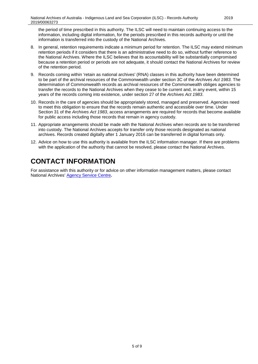the period of time prescribed in this authority. The ILSC will need to maintain continuing access to the information, including digital information, for the periods prescribed in this records authority or until the information is transferred into the custody of the National Archives.

- 8. In general, retention requirements indicate a minimum period for retention. The ILSC may extend minimum retention periods if it considers that there is an administrative need to do so, without further reference to the National Archives. Where the ILSC believes that its accountability will be substantially compromised because a retention period or periods are not adequate, it should contact the National Archives for review of the retention period.
- 9. Records coming within 'retain as national archives' (RNA) classes in this authority have been determined to be part of the archival resources of the Commonwealth under section 3C of the *Archives Act 1983*. The determination of Commonwealth records as archival resources of the Commonwealth obliges agencies to transfer the records to the National Archives when they cease to be current and, in any event, within 15 years of the records coming into existence, under section 27 of the *Archives Act 1983*.
- 10. Records in the care of agencies should be appropriately stored, managed and preserved. Agencies need to meet this obligation to ensure that the records remain authentic and accessible over time. Under Section 31 of the *Archives Act 1983*, access arrangements are required for records that become available for public access including those records that remain in agency custody.
- 11. Appropriate arrangements should be made with the National Archives when records are to be transferred into custody. The National Archives accepts for transfer only those records designated as national archives. Records created digitally after 1 January 2016 can be transferred in digital formats only.
- 12. Advice on how to use this authority is available from the ILSC information manager. If there are problems with the application of the authority that cannot be resolved, please contact the National Archives.

# **CONTACT INFORMATION**

For assistance with this authority or for advice on other information management matters, please contact National Archives' [Agency Service Centre](http://reftracker.naa.gov.au/reft000.aspx)**.**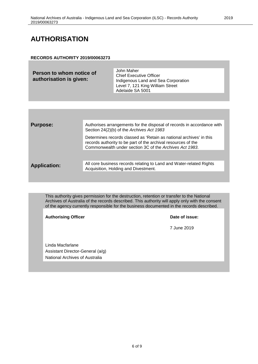### **AUTHORISATION**

### **RECORDS AUTHORITY 2019/00063273**

| Person to whom notice of<br>authorisation is given: | John Maher<br><b>Chief Executive Officer</b><br>Indigenous Land and Sea Corporation |
|-----------------------------------------------------|-------------------------------------------------------------------------------------|
|                                                     | Level 7, 121 King William Street<br>Adelaide SA 5001                                |

| <b>Purpose:</b>     | Authorises arrangements for the disposal of records in accordance with<br>Section 24(2)(b) of the Archives Act 1983                                                                             |
|---------------------|-------------------------------------------------------------------------------------------------------------------------------------------------------------------------------------------------|
|                     | Determines records classed as 'Retain as national archives' in this<br>records authority to be part of the archival resources of the<br>Commonwealth under section 3C of the Archives Act 1983. |
|                     |                                                                                                                                                                                                 |
| <b>Application:</b> | All core business records relating to Land and Water-related Rights<br>Acquisition, Holding and Divestment.                                                                                     |
|                     |                                                                                                                                                                                                 |

This authority gives permission for the destruction, retention or transfer to the National Archives of Australia of the records described. This authority will apply only with the consent of the agency currently responsible for the business documented in the records described.

Authorising Officer **Contract Contract Contract Contract Contract Contract Contract Contract Contract Contract Contract Contract Contract Contract Contract Contract Contract Contract Contract Contract Contract Contract Con** 

7 June 2019

Linda Macfarlane Assistant Director-General (a/g) National Archives of Australia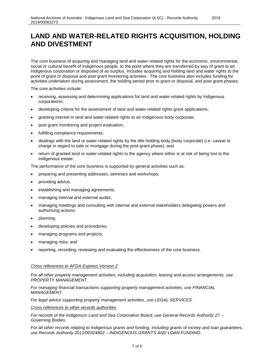### **LAND AND WATER-RELATED RIGHTS ACQUISITION, HOLDING AND DIVESTMENT**

2019

The core business of acquiring and managing land and water-related rights for the economic, environmental, social or cultural benefit of Indigenous people, to the point where they are transferred by way of grant to an Indigenous corporation or disposed of as surplus. Includes acquiring and holding land and water rights to the point of grant or disposal and post grant monitoring activities. The core business also includes funding for activities undertaken during assessment, the holding period prior to grant or disposal, and post grant phases.

The core activities include:

- receiving, assessing and determining applications for land and water-related rights by Indigenous corporations;
- developing criteria for the assessment of land and water-related rights grant applications;
- granting interest in land and water-related rights to an Indigenous body corporate;
- post grant monitoring and project evaluation;
- fulfilling compliance requirements;
- dealings with the land or water-related rights by the title holding body (body corporate) (i.e. caveat or charge in regard to sale or mortgage during the post-grant phase); and
- return of granted land or water-related rights to the agency where either is at risk of being lost to the Indigenous estate.

The performance of the core business is supported by general activities such as:

- preparing and presenting addresses, seminars and workshops;
- providing advice;
- establishing and managing agreements;
- managing internal and external audits;
- managing meetings and consulting with internal and external stakeholders delegating powers and authorising actions;
- planning;
- developing policies and procedures;
- managing programs and projects;
- managing risks; and
- reporting, recording, reviewing and evaluating the effectiveness of the core business.

#### *Cross references to AFDA Express Version 2*

*For all other property management activities, including acquisition, leasing and access arrangements, use PROPERTY MANAGEMENT.*

*For managing financial transactions supporting property management activities, use FINANCIAL MANAGEMENT.*

*For legal advice supporting property management activities, use LEGAL SERVICES.*

*Cross references to other records authorities*

*For records of the Indigenous Land and Sea Corporation Board, use General Records Authority 27 – Governing Bodies.*

*For all other records relating to Indigenous grants and funding, including grants of money and loan guarantees, use Records Authority 2011/00324802 – INDIGENOUS GRANTS AND LOAN FUNDING.*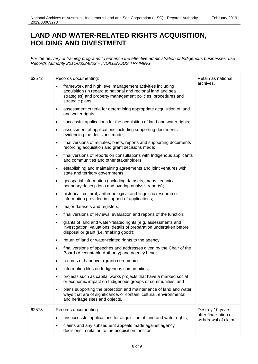## **LAND AND WATER-RELATED RIGHTS ACQUISITION, HOLDING AND DIVESTMENT**

*For the delivery of training programs to enhance the effective administration of Indigenous businesses, use Records Authority 2011/00324802 – INDIGENOUS TRAINING.*

| 62572          | Records documenting:<br>framework and high level management activities including<br>acquisition (in regard to national and regional land and sea<br>strategies) and property management policies, procedures and | Retain as national<br>archives.                                   |
|----------------|------------------------------------------------------------------------------------------------------------------------------------------------------------------------------------------------------------------|-------------------------------------------------------------------|
|                | strategic plans;<br>assessment criteria for determining appropriate acquisition of land<br>$\bullet$<br>and water rights;                                                                                        |                                                                   |
|                | successful applications for the acquisition of land and water rights;<br>$\bullet$                                                                                                                               |                                                                   |
|                | assessment of applications including supporting documents<br>٠<br>evidencing the decisions made;                                                                                                                 |                                                                   |
|                | final versions of minutes, briefs, reports and supporting documents<br>$\bullet$<br>recording acquisition and grant decisions made;                                                                              |                                                                   |
|                | final versions of reports on consultations with Indigenous applicants<br>$\bullet$<br>and communities and other stakeholders;                                                                                    |                                                                   |
|                | establishing and maintaining agreements and joint ventures with<br>$\bullet$<br>state and territory governments;                                                                                                 |                                                                   |
|                | geospatial information (including datasets, maps, technical<br>$\bullet$<br>boundary descriptions and overlap analysis reports);                                                                                 |                                                                   |
|                | historical, cultural, anthropological and linguistic research or<br>$\bullet$<br>information provided in support of applications;                                                                                |                                                                   |
|                | major datasets and registers;<br>٠                                                                                                                                                                               |                                                                   |
|                | final versions of reviews, evaluation and reports of the function;<br>$\bullet$                                                                                                                                  |                                                                   |
| ٠<br>$\bullet$ | grants of land and water-related rights (e.g. assessments and<br>investigation, valuations, details of preparation undertaken before<br>disposal or grant (i.e. 'making good');                                  |                                                                   |
|                | return of land or water-related rights to the agency;                                                                                                                                                            |                                                                   |
|                | final versions of speeches and addresses given by the Chair of the<br>Board (Accountable Authority) and agency head;                                                                                             |                                                                   |
|                | records of handover (grant) ceremonies;                                                                                                                                                                          |                                                                   |
|                | information files on Indigenous communities;                                                                                                                                                                     |                                                                   |
|                | projects such as capital works projects that have a marked social<br>٠<br>or economic impact on Indigenous groups or communities; and                                                                            |                                                                   |
|                | plans supporting the protection and maintenance of land and water<br>$\bullet$<br>ways that are of significance, or contain, cultural, environmental<br>and heritage sites and objects.                          |                                                                   |
| 62573          | Records documenting:<br>unsuccessful applications for acquisition of land and water rights;<br>claims and any subsequent appeals made against agency<br>decisions in relation to the acquisition function.       | Destroy 10 years<br>after finalisation or<br>withdrawal of claim. |